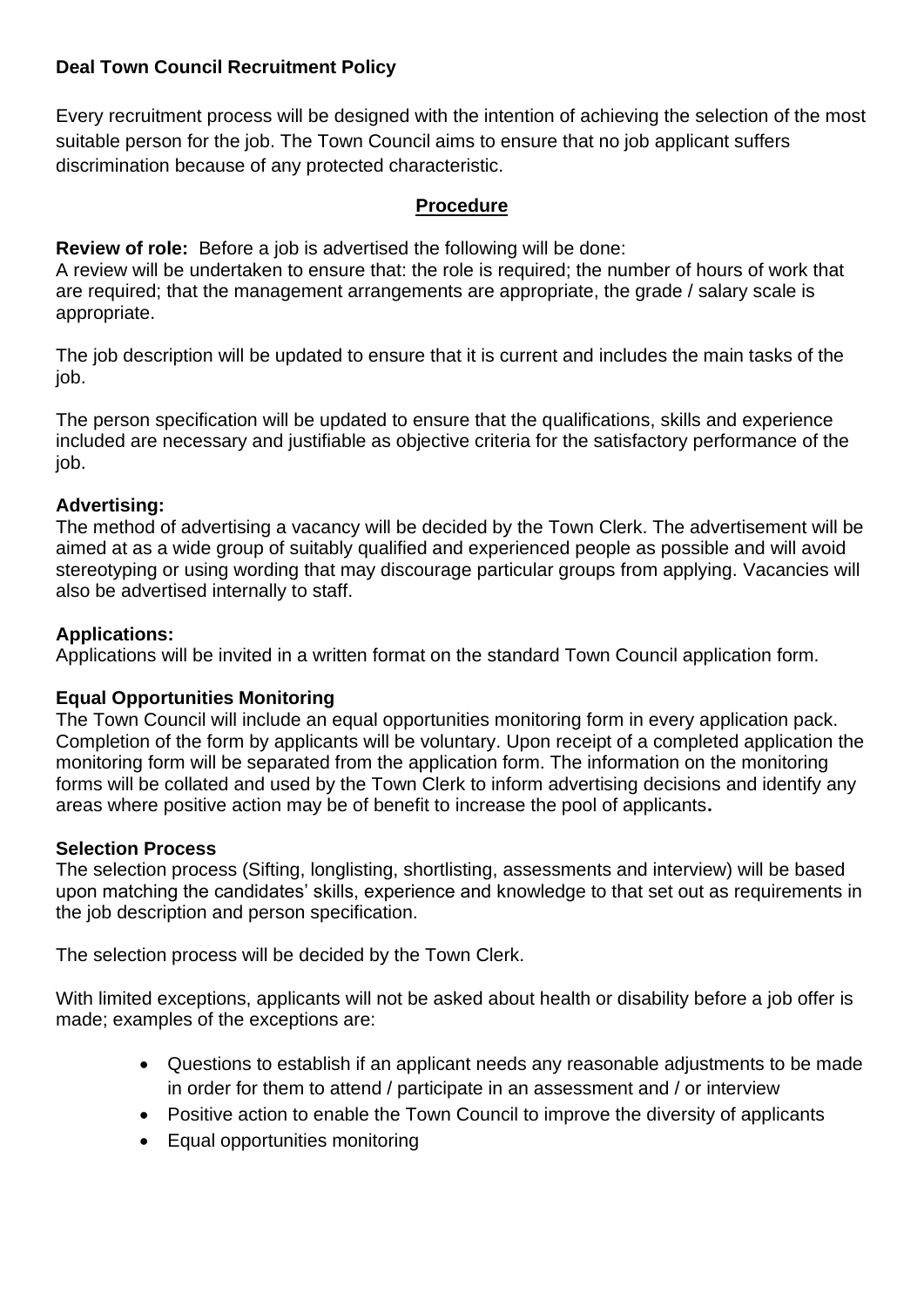# **Deal Town Council Recruitment Policy**

Every recruitment process will be designed with the intention of achieving the selection of the most suitable person for the job. The Town Council aims to ensure that no job applicant suffers discrimination because of any protected characteristic.

### **Procedure**

**Review of role:** Before a job is advertised the following will be done:

A review will be undertaken to ensure that: the role is required; the number of hours of work that are required; that the management arrangements are appropriate, the grade / salary scale is appropriate.

The job description will be updated to ensure that it is current and includes the main tasks of the job.

The person specification will be updated to ensure that the qualifications, skills and experience included are necessary and justifiable as objective criteria for the satisfactory performance of the job.

## **Advertising:**

The method of advertising a vacancy will be decided by the Town Clerk. The advertisement will be aimed at as a wide group of suitably qualified and experienced people as possible and will avoid stereotyping or using wording that may discourage particular groups from applying. Vacancies will also be advertised internally to staff.

## **Applications:**

Applications will be invited in a written format on the standard Town Council application form.

## **Equal Opportunities Monitoring**

The Town Council will include an equal opportunities monitoring form in every application pack. Completion of the form by applicants will be voluntary. Upon receipt of a completed application the monitoring form will be separated from the application form. The information on the monitoring forms will be collated and used by the Town Clerk to inform advertising decisions and identify any areas where positive action may be of benefit to increase the pool of applicants**.**

#### **Selection Process**

The selection process (Sifting, longlisting, shortlisting, assessments and interview) will be based upon matching the candidates' skills, experience and knowledge to that set out as requirements in the job description and person specification.

The selection process will be decided by the Town Clerk.

With limited exceptions, applicants will not be asked about health or disability before a job offer is made; examples of the exceptions are:

- Questions to establish if an applicant needs any reasonable adjustments to be made in order for them to attend / participate in an assessment and / or interview
- Positive action to enable the Town Council to improve the diversity of applicants
- Equal opportunities monitoring